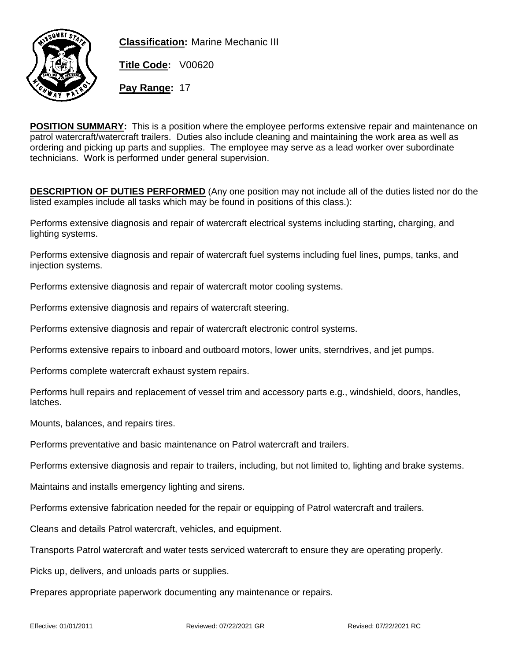

**Classification:** Marine Mechanic III

**Title Code:** V00620

**Pay Range:** 17

**POSITION SUMMARY:** This is a position where the employee performs extensive repair and maintenance on patrol watercraft/watercraft trailers. Duties also include cleaning and maintaining the work area as well as ordering and picking up parts and supplies. The employee may serve as a lead worker over subordinate technicians. Work is performed under general supervision.

**DESCRIPTION OF DUTIES PERFORMED** (Any one position may not include all of the duties listed nor do the listed examples include all tasks which may be found in positions of this class.):

Performs extensive diagnosis and repair of watercraft electrical systems including starting, charging, and lighting systems.

Performs extensive diagnosis and repair of watercraft fuel systems including fuel lines, pumps, tanks, and injection systems.

Performs extensive diagnosis and repair of watercraft motor cooling systems.

Performs extensive diagnosis and repairs of watercraft steering.

Performs extensive diagnosis and repair of watercraft electronic control systems.

Performs extensive repairs to inboard and outboard motors, lower units, sterndrives, and jet pumps.

Performs complete watercraft exhaust system repairs.

Performs hull repairs and replacement of vessel trim and accessory parts e.g., windshield, doors, handles, latches.

Mounts, balances, and repairs tires.

Performs preventative and basic maintenance on Patrol watercraft and trailers.

Performs extensive diagnosis and repair to trailers, including, but not limited to, lighting and brake systems.

Maintains and installs emergency lighting and sirens.

Performs extensive fabrication needed for the repair or equipping of Patrol watercraft and trailers.

Cleans and details Patrol watercraft, vehicles, and equipment.

Transports Patrol watercraft and water tests serviced watercraft to ensure they are operating properly.

Picks up, delivers, and unloads parts or supplies.

Prepares appropriate paperwork documenting any maintenance or repairs.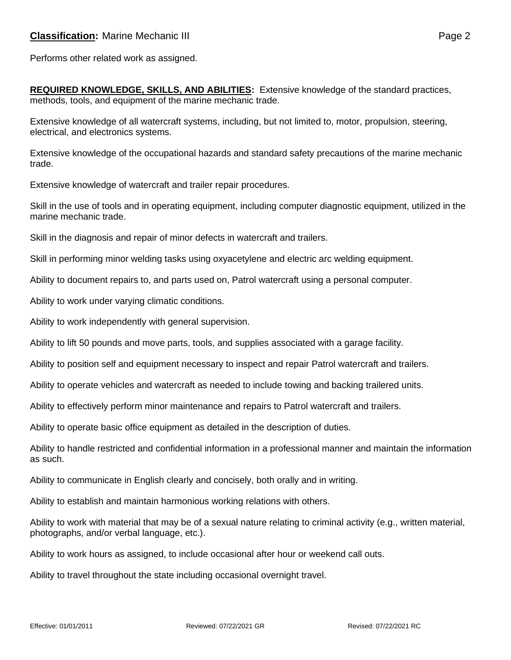Performs other related work as assigned.

**REQUIRED KNOWLEDGE, SKILLS, AND ABILITIES:** Extensive knowledge of the standard practices, methods, tools, and equipment of the marine mechanic trade.

Extensive knowledge of all watercraft systems, including, but not limited to, motor, propulsion, steering, electrical, and electronics systems.

Extensive knowledge of the occupational hazards and standard safety precautions of the marine mechanic trade.

Extensive knowledge of watercraft and trailer repair procedures.

Skill in the use of tools and in operating equipment, including computer diagnostic equipment, utilized in the marine mechanic trade.

Skill in the diagnosis and repair of minor defects in watercraft and trailers.

Skill in performing minor welding tasks using oxyacetylene and electric arc welding equipment.

Ability to document repairs to, and parts used on, Patrol watercraft using a personal computer.

Ability to work under varying climatic conditions.

Ability to work independently with general supervision.

Ability to lift 50 pounds and move parts, tools, and supplies associated with a garage facility.

Ability to position self and equipment necessary to inspect and repair Patrol watercraft and trailers.

Ability to operate vehicles and watercraft as needed to include towing and backing trailered units.

Ability to effectively perform minor maintenance and repairs to Patrol watercraft and trailers.

Ability to operate basic office equipment as detailed in the description of duties.

Ability to handle restricted and confidential information in a professional manner and maintain the information as such.

Ability to communicate in English clearly and concisely, both orally and in writing.

Ability to establish and maintain harmonious working relations with others.

Ability to work with material that may be of a sexual nature relating to criminal activity (e.g., written material, photographs, and/or verbal language, etc.).

Ability to work hours as assigned, to include occasional after hour or weekend call outs.

Ability to travel throughout the state including occasional overnight travel.